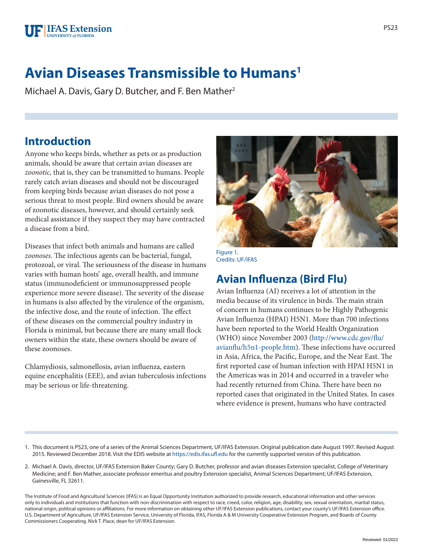

# **Avian Diseases Transmissible to Humans1**

Michael A. Davis, Gary D. Butcher, and F. Ben Mather<sup>2</sup>

#### **Introduction**

Anyone who keeps birds, whether as pets or as production animals, should be aware that certain avian diseases are *zoonotic*, that is, they can be transmitted to humans. People rarely catch avian diseases and should not be discouraged from keeping birds because avian diseases do not pose a serious threat to most people. Bird owners should be aware of zoonotic diseases, however, and should certainly seek medical assistance if they suspect they may have contracted a disease from a bird.

Diseases that infect both animals and humans are called *zoonoses*. The infectious agents can be bacterial, fungal, protozoal, or viral. The seriousness of the disease in humans varies with human hosts' age, overall health, and immune status (immunodeficient or immunosuppressed people experience more severe disease). The severity of the disease in humans is also affected by the virulence of the organism, the infective dose, and the route of infection. The effect of these diseases on the commercial poultry industry in Florida is minimal, but because there are many small flock owners within the state, these owners should be aware of these zoonoses.

Chlamydiosis, salmonellosis, avian influenza, eastern equine encephalitis (EEE), and avian tuberculosis infections may be serious or life-threatening.



Credits: UF/IFAS

### **Avian Influenza (Bird Flu)**

Avian Influenza (AI) receives a lot of attention in the media because of its virulence in birds. The main strain of concern in humans continues to be Highly Pathogenic Avian Influenza (HPAI) H5N1. More than 700 infections have been reported to the World Health Organization (WHO) since November 2003 ([http://www.cdc.gov/flu/](http://www.cdc.gov/flu/avianflu/h5n1-people.htm) [avianflu/h5n1-people.htm](http://www.cdc.gov/flu/avianflu/h5n1-people.htm)). These infections have occurred in Asia, Africa, the Pacific, Europe, and the Near East. The first reported case of human infection with HPAI H5N1 in the Americas was in 2014 and occurred in a traveler who had recently returned from China. There have been no reported cases that originated in the United States. In cases where evidence is present, humans who have contracted

1. This document is PS23, one of a series of the Animal Sciences Department, UF/IFAS Extension. Original publication date August 1997. Revised August 2015. Reviewed December 2018. Visit the EDIS website at <https://edis.ifas.ufl.edu>for the currently supported version of this publication.

2. Michael A. Davis, director, UF/IFAS Extension Baker County; Gary D. Butcher, professor and avian diseases Extension specialist, College of Veterinary Medicine; and F. Ben Mather, associate professor emeritus and poultry Extension specialist, Animal Sciences Department; UF/IFAS Extension, Gainesville, FL 32611.

The Institute of Food and Agricultural Sciences (IFAS) is an Equal Opportunity Institution authorized to provide research, educational information and other services only to individuals and institutions that function with non-discrimination with respect to race, creed, color, religion, age, disability, sex, sexual orientation, marital status, national origin, political opinions or affiliations. For more information on obtaining other UF/IFAS Extension publications, contact your county's UF/IFAS Extension office. U.S. Department of Agriculture, UF/IFAS Extension Service, University of Florida, IFAS, Florida A & M University Cooperative Extension Program, and Boards of County Commissioners Cooperating. Nick T. Place, dean for UF/IFAS Extension.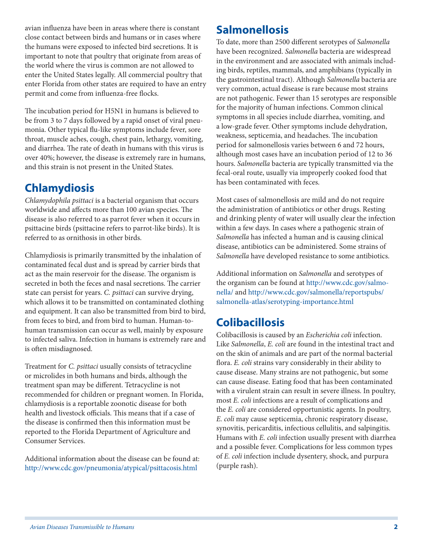avian influenza have been in areas where there is constant close contact between birds and humans or in cases where the humans were exposed to infected bird secretions. It is important to note that poultry that originate from areas of the world where the virus is common are not allowed to enter the United States legally. All commercial poultry that enter Florida from other states are required to have an entry permit and come from influenza-free flocks.

The incubation period for H5N1 in humans is believed to be from 3 to 7 days followed by a rapid onset of viral pneumonia. Other typical flu-like symptoms include fever, sore throat, muscle aches, cough, chest pain, lethargy, vomiting, and diarrhea. The rate of death in humans with this virus is over 40%; however, the disease is extremely rare in humans, and this strain is not present in the United States.

### **Chlamydiosis**

*Chlamydophila psittaci* is a bacterial organism that occurs worldwide and affects more than 100 avian species. The disease is also referred to as parrot fever when it occurs in psittacine birds (psittacine refers to parrot-like birds). It is referred to as ornithosis in other birds.

Chlamydiosis is primarily transmitted by the inhalation of contaminated fecal dust and is spread by carrier birds that act as the main reservoir for the disease. The organism is secreted in both the feces and nasal secretions. The carrier state can persist for years. *C. psittaci* can survive drying, which allows it to be transmitted on contaminated clothing and equipment. It can also be transmitted from bird to bird, from feces to bird, and from bird to human. Human-tohuman transmission can occur as well, mainly by exposure to infected saliva. Infection in humans is extremely rare and is often misdiagnosed.

Treatment for *C. psittaci* usually consists of tetracycline or microlides in both humans and birds, although the treatment span may be different. Tetracycline is not recommended for children or pregnant women. In Florida, chlamydiosis is a reportable zoonotic disease for both health and livestock officials. This means that if a case of the disease is confirmed then this information must be reported to the Florida Department of Agriculture and Consumer Services.

Additional information about the disease can be found at: <http://www.cdc.gov/pneumonia/atypical/psittacosis.html>

#### **Salmonellosis**

To date, more than 2500 different serotypes of *Salmonella* have been recognized. *Salmonella* bacteria are widespread in the environment and are associated with animals including birds, reptiles, mammals, and amphibians (typically in the gastrointestinal tract). Although *Salmonella* bacteria are very common, actual disease is rare because most strains are not pathogenic. Fewer than 15 serotypes are responsible for the majority of human infections. Common clinical symptoms in all species include diarrhea, vomiting, and a low-grade fever. Other symptoms include dehydration, weakness, septicemia, and headaches. The incubation period for salmonellosis varies between 6 and 72 hours, although most cases have an incubation period of 12 to 36 hours. *Salmonella* bacteria are typically transmitted via the fecal-oral route, usually via improperly cooked food that has been contaminated with feces.

Most cases of salmonellosis are mild and do not require the administration of antibiotics or other drugs. Resting and drinking plenty of water will usually clear the infection within a few days. In cases where a pathogenic strain of *Salmonella* has infected a human and is causing clinical disease, antibiotics can be administered. Some strains of *Salmonella* have developed resistance to some antibiotics.

Additional information on *Salmonella* and serotypes of the organism can be found at [http://www.cdc.gov/salmo](http://www.cdc.gov/salmonella/)[nella/](http://www.cdc.gov/salmonella/) and [http://www.cdc.gov/salmonella/reportspubs/](http://www.cdc.gov/salmonella/reportspubs/salmonella-atlas/serotyping-importance.html) [salmonella-atlas/serotyping-importance.html](http://www.cdc.gov/salmonella/reportspubs/salmonella-atlas/serotyping-importance.html)

# **Colibacillosis**

Colibacillosis is caused by an *Escherichia coli* infection. Like *Salmonella*, *E. coli* are found in the intestinal tract and on the skin of animals and are part of the normal bacterial flora. *E. coli* strains vary considerably in their ability to cause disease. Many strains are not pathogenic, but some can cause disease. Eating food that has been contaminated with a virulent strain can result in severe illness. In poultry, most *E. coli* infections are a result of complications and the *E. coli* are considered opportunistic agents. In poultry, *E. coli* may cause septicemia, chronic respiratory disease, synovitis, pericarditis, infectious cellulitis, and salpingitis. Humans with *E. coli* infection usually present with diarrhea and a possible fever. Complications for less common types of *E. coli* infection include dysentery, shock, and purpura (purple rash).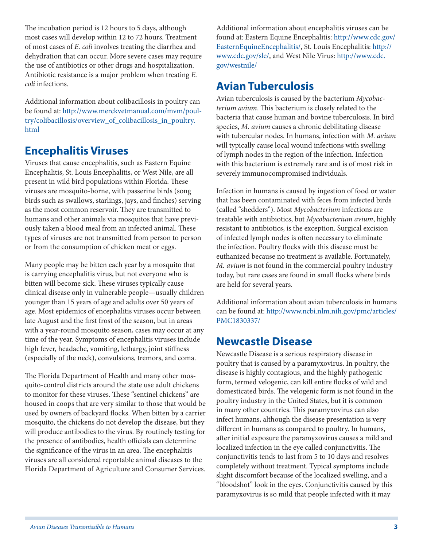The incubation period is 12 hours to 5 days, although most cases will develop within 12 to 72 hours. Treatment of most cases of *E. coli* involves treating the diarrhea and dehydration that can occur. More severe cases may require the use of antibiotics or other drugs and hospitalization. Antibiotic resistance is a major problem when treating *E. coli* infections.

Additional information about colibacillosis in poultry can be found at: [http://www.merckvetmanual.com/mvm/poul](http://www.merckvetmanual.com/mvm/poultry/colibacillosis/overview_of_colibacillosis_in_poultry.html)[try/colibacillosis/overview\\_of\\_colibacillosis\\_in\\_poultry.](http://www.merckvetmanual.com/mvm/poultry/colibacillosis/overview_of_colibacillosis_in_poultry.html) [html](http://www.merckvetmanual.com/mvm/poultry/colibacillosis/overview_of_colibacillosis_in_poultry.html)

#### **Encephalitis Viruses**

Viruses that cause encephalitis, such as Eastern Equine Encephalitis, St. Louis Encephalitis, or West Nile, are all present in wild bird populations within Florida. These viruses are mosquito-borne, with passerine birds (song birds such as swallows, starlings, jays, and finches) serving as the most common reservoir. They are transmitted to humans and other animals via mosquitos that have previously taken a blood meal from an infected animal. These types of viruses are not transmitted from person to person or from the consumption of chicken meat or eggs.

Many people may be bitten each year by a mosquito that is carrying encephalitis virus, but not everyone who is bitten will become sick. These viruses typically cause clinical disease only in vulnerable people—usually children younger than 15 years of age and adults over 50 years of age. Most epidemics of encephalitis viruses occur between late August and the first frost of the season, but in areas with a year-round mosquito season, cases may occur at any time of the year. Symptoms of encephalitis viruses include high fever, headache, vomiting, lethargy, joint stiffness (especially of the neck), convulsions, tremors, and coma.

The Florida Department of Health and many other mosquito-control districts around the state use adult chickens to monitor for these viruses. These "sentinel chickens" are housed in coops that are very similar to those that would be used by owners of backyard flocks. When bitten by a carrier mosquito, the chickens do not develop the disease, but they will produce antibodies to the virus. By routinely testing for the presence of antibodies, health officials can determine the significance of the virus in an area. The encephalitis viruses are all considered reportable animal diseases to the Florida Department of Agriculture and Consumer Services.

Additional information about encephalitis viruses can be found at: Eastern Equine Encephalitis: [http://www.cdc.gov/](http://www.cdc.gov/EasternEquineEncephalitis/) [EasternEquineEncephalitis/](http://www.cdc.gov/EasternEquineEncephalitis/), St. Louis Encephalitis: [http://](http://www.cdc.gov/sle/) [www.cdc.gov/sle/,](http://www.cdc.gov/sle/) and West Nile Virus: [http://www.cdc.](http://www.cdc.gov/westnile/) [gov/westnile/](http://www.cdc.gov/westnile/)

# **Avian Tuberculosis**

Avian tuberculosis is caused by the bacterium *Mycobacterium avium*. This bacterium is closely related to the bacteria that cause human and bovine tuberculosis. In bird species, *M. avium* causes a chronic debilitating disease with tubercular nodes. In humans, infection with *M. avium* will typically cause local wound infections with swelling of lymph nodes in the region of the infection. Infection with this bacterium is extremely rare and is of most risk in severely immunocompromised individuals.

Infection in humans is caused by ingestion of food or water that has been contaminated with feces from infected birds (called "shedders"). Most *Mycobacterium* infections are treatable with antibiotics, but *Mycobacterium avium*, highly resistant to antibiotics, is the exception. Surgical excision of infected lymph nodes is often necessary to eliminate the infection. Poultry flocks with this disease must be euthanized because no treatment is available. Fortunately, *M. avium* is not found in the commercial poultry industry today, but rare cases are found in small flocks where birds are held for several years.

Additional information about avian tuberculosis in humans can be found at: [http://www.ncbi.nlm.nih.gov/pmc/articles/](http://www.ncbi.nlm.nih.gov/pmc/articles/PMC1830337/) [PMC1830337/](http://www.ncbi.nlm.nih.gov/pmc/articles/PMC1830337/)

#### **Newcastle Disease**

Newcastle Disease is a serious respiratory disease in poultry that is caused by a paramyxovirus. In poultry, the disease is highly contagious, and the highly pathogenic form, termed velogenic, can kill entire flocks of wild and domesticated birds. The velogenic form is not found in the poultry industry in the United States, but it is common in many other countries. This paramyxovirus can also infect humans, although the disease presentation is very different in humans as compared to poultry. In humans, after initial exposure the paramyxovirus causes a mild and localized infection in the eye called conjunctivitis. The conjunctivitis tends to last from 5 to 10 days and resolves completely without treatment. Typical symptoms include slight discomfort because of the localized swelling, and a "bloodshot" look in the eyes. Conjunctivitis caused by this paramyxovirus is so mild that people infected with it may